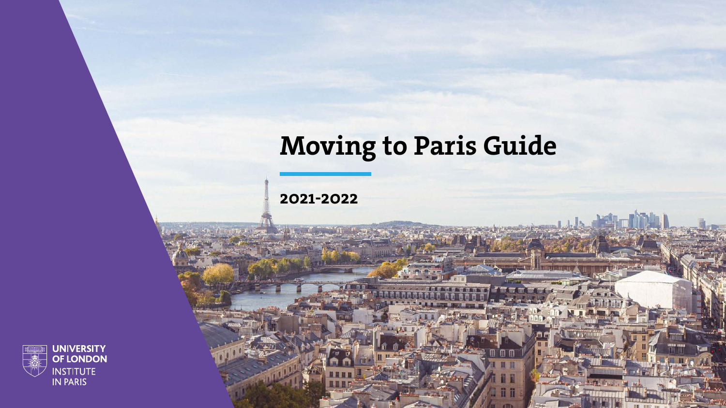

## Moving to Paris Guide

ii i

2021-2022

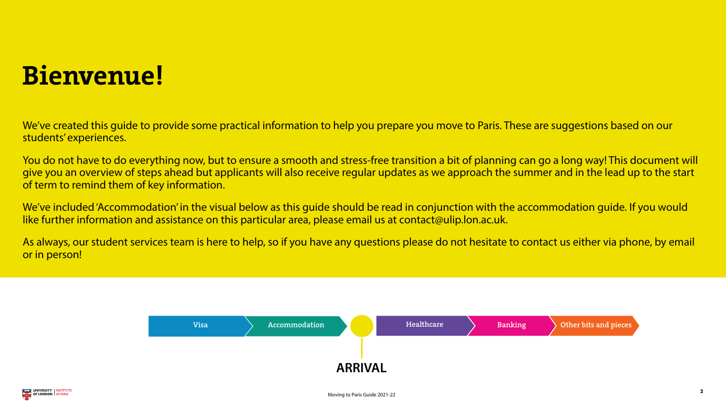Moving to Paris Guide 2021-22





### Bienvenue!

We've created this guide to provide some practical information to help you prepare you move to Paris. These are suggestions based on our students' experiences.

We've included 'Accommodation' in the visual below as this guide should be read in conjunction with the accommodation guide. If you would like further information and assistance on this particular area, please email us at contact@ulip.lon.ac.uk.

You do not have to do everything now, but to ensure a smooth and stress-free transition a bit of planning can go a long way! This document will give you an overview of steps ahead but applicants will also receive regular updates as we approach the summer and in the lead up to the start of term to remind them of key information.

As always, our student services team is here to help, so if you have any questions please do not hesitate to contact us either via phone, by email or in person!



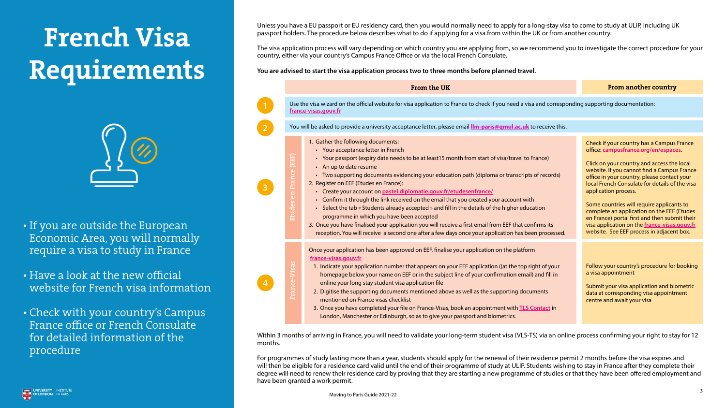Unless you have a EU passport or EU residency card, then you would normally need to apply for a long-stay visa to come to study at ULIP, including UK passport holders. The procedure below describes what to do if applying for a visa from within the UK or from another country.

The visa application process will vary depending on which country you are applying from, so we recommend you to investigate the correct procedure for your country, either via your country's Campus France Office or via the local French Consulate.

#### **You are advised to start the visa application process two to three months before planned travel.**

Within 3 months of arriving in France, you will need to validate your long-term student visa (VLS-TS) via an online process confirming your right to stay for 12

months.

For programmes of study lasting more than a year, students should apply for the renewal of their residence permit 2 months before the visa expires and will then be eligible for a residence card valid until the end of their programme of study at ULIP. Students wishing to stay in France after they complete their degree will need to renew their residence card by proving that they are starting a new programme of studies or that they have been offered employment and have been granted a work permit.



| From the UK                                                                                                                                                                                                                                                                                                                                                                                                                                                                                                                                                                                                                                                                                                                                                                                                                                                           | <b>From another country</b>                                                                                                                                                                                                                                                                                                                                                                                                                                                                                                                      |  |
|-----------------------------------------------------------------------------------------------------------------------------------------------------------------------------------------------------------------------------------------------------------------------------------------------------------------------------------------------------------------------------------------------------------------------------------------------------------------------------------------------------------------------------------------------------------------------------------------------------------------------------------------------------------------------------------------------------------------------------------------------------------------------------------------------------------------------------------------------------------------------|--------------------------------------------------------------------------------------------------------------------------------------------------------------------------------------------------------------------------------------------------------------------------------------------------------------------------------------------------------------------------------------------------------------------------------------------------------------------------------------------------------------------------------------------------|--|
| isa wizard on the official website for visa application to France to check if you need a visa and corresponding supporting documentation:<br><u>sas.gouv.fr</u>                                                                                                                                                                                                                                                                                                                                                                                                                                                                                                                                                                                                                                                                                                       |                                                                                                                                                                                                                                                                                                                                                                                                                                                                                                                                                  |  |
| e asked to provide a university acceptance letter, please email <b>Ilm-paris@qmul.ac.uk</b> to receive this.                                                                                                                                                                                                                                                                                                                                                                                                                                                                                                                                                                                                                                                                                                                                                          |                                                                                                                                                                                                                                                                                                                                                                                                                                                                                                                                                  |  |
| Gather the following documents:<br>• Your acceptance letter in French<br>• Your passport (expiry date needs to be at least15 month from start of visa/travel to France)<br>• An up to date resume<br>• Two supporting documents evidencing your education path (diploma or transcripts of records)<br>Register on EEF (Etudes en France):<br>• Create your account on pastel.diplomatie.gouv.fr/etudesenfrance/<br>• Confirm it through the link received on the email that you created your account with<br>• Select the tab « Students already accepted » and fill in the details of the higher education<br>programme in which you have been accepted<br>Once you have finalised your application you will receive a first email from EEF that confirms its<br>reception. You will receive a second one after a few days once your application has been processed. | Check if your country has a Campus France<br>office: campusfrance.org/en/espaces.<br>Click on your country and access the local<br>website. If you cannot find a Campus France<br>office in your country, please contact your<br>local French Consulate for details of the visa<br>application process.<br>Some countries will require applicants to<br>complete an application on the EEF (Etudes<br>en France) portal first and then submit their<br>visa application on the france-visas.gouv.fr<br>website. See EEF process in adjacent box. |  |
| nce your application has been approved on EEF, finalise your application on the platform<br><u>ance-visas.gouv.fr</u><br>1. Indicate your application number that appears on your EEF application ((at the top right of your<br>homepage below your name on EEF or in the subject line of your confirmation email) and fill in<br>online your long stay student visa application file<br>2. Digitise the supporting documents mentioned above as well as the supporting documents<br>mentioned on France visas checklist<br>3. Once you have completed your file on France-Visas, book an appointment with <b>TLS Contact</b> in<br>London, Manchester or Edinburgh, so as to give your passport and biometrics.                                                                                                                                                      | Follow your country's procedure for bookin<br>a visa appointment<br>Submit your visa application and biometric<br>data at corresponding visa appointment<br>centre and await your visa                                                                                                                                                                                                                                                                                                                                                           |  |





# <span id="page-2-0"></span>French Visa Requirements



- If you are outside the European Economic Area, you will normally require a visa to study in France
- Have a look at the new official website for French visa information
- Check with your country's Campus France office or French Consulate for detailed information of the procedure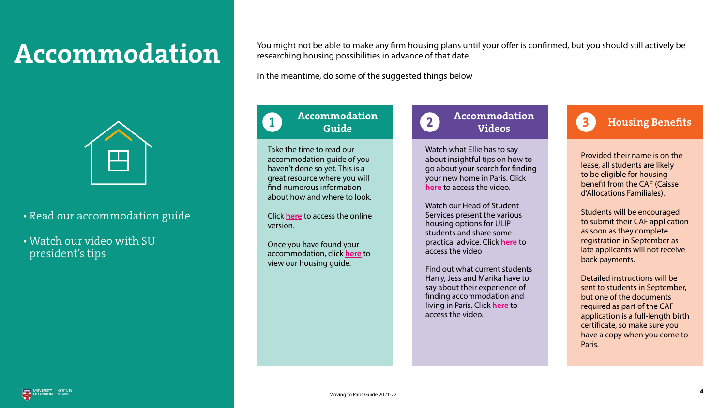

You might not be able to make any firm housing plans until your offer is confirmed, but you should still actively be researching housing possibilities in advance of that date.

#### Accommodation Guide  $\begin{array}{c} 1 \end{array}$   $\begin{array}{c} 2 \end{array}$   $\begin{array}{c} 1 \end{array}$   $\begin{array}{c} 3 \end{array}$

In the meantime, do some of the suggested things below

Take the time to read our accommodation guide of you haven't done so yet. This is a great resource where you will find numerous information about how and where to look.

Click **[here](https://london.ac.uk/sites/default/files/leaflets/Accommmodation-guide-ULiP.pdf)** to access the online version.

Once you have found your accommodation, click **[here](https://london.ac.uk/sites/default/files/ulip/housing_guide.pdf)** to view our housing guide.



### Accommodation Videos

Watch what Ellie has to say about insightful tips on how to go about your search for finding your new home in Paris. Click **[here](https://www.youtube.com/watch?v=wKPRO0rvbiQ&t=105s)** to access the video.

Watch our Head of Student Services present the various housing options for ULIP students and share some practical advice. Click **[here](https://youtu.be/c_v1P06usnE)** to access the video

Find out what current students Harry, Jess and Marika have to say about their experience of finding accommodation and living in Paris. Click **[here](https://youtu.be/ezWCVqTgRpU)** to access the video.

#### Housing Benefits

Provided their name is on the lease, all students are likely to be eligible for housing benefit from the CAF (Caisse d'Allocations Familiales).

Students will be encouraged to submit their CAF application as soon as they complete registration in September as late applicants will not receive back payments.

Detailed instructions will be sent to students in September, but one of the documents required as part of the CAF application is a full-length birth certificate, so make sure you have a copy when you come to Paris.

4

## <span id="page-3-0"></span>Accommodation



- Read our accommodation guide
- Watch our video with SU president's tips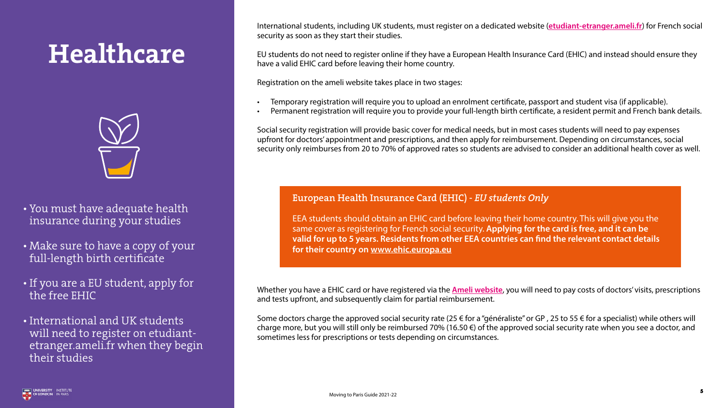







International students, including UK students, must register on a dedicated website (**[etudiant-etranger.ameli.fr](https://etudiant-etranger.ameli.fr/#/)**) for French social security as soon as they start their studies.

EU students do not need to register online if they have a European Health Insurance Card (EHIC) and instead should ensure they have a valid EHIC card before leaving their home country.

Registration on the ameli website takes place in two stages:

- 
- 

• Temporary registration will require you to upload an enrolment certificate, passport and student visa (if applicable). • Permanent registration will require you to provide your full-length birth certificate, a resident permit and French bank details.

Some doctors charge the approved social security rate (25 € for a "généraliste" or GP, 25 to 55 € for a specialist) while others will charge more, but you will still only be reimbursed 70% (16.50 €) of the approved social security rate when you see a doctor, and sometimes less for prescriptions or tests depending on circumstances.



Social security registration will provide basic cover for medical needs, but in most cases students will need to pay expenses upfront for doctors' appointment and prescriptions, and then apply for reimbursement. Depending on circumstances, social security only reimburses from 20 to 70% of approved rates so students are advised to consider an additional health cover as well.

Whether you have a EHIC card or have registered via the **[Ameli website](https://etudiant-etranger.ameli.fr/#/)**, you will need to pay costs of doctors' visits, prescriptions and tests upfront, and subsequently claim for partial reimbursement.

## <span id="page-4-0"></span>Healthcare



- You must have adequate health insurance during your studies
- Make sure to have a copy of your full-length birth certificate
- If you are a EU student, apply for the free EHIC
- International and UK students will need to register on etudiantetranger.ameli.fr when they begin their studies

#### European Health Insurance Card (EHIC) - *EU students Only*

EEA students should obtain an EHIC card before leaving their home country. This will give you the same cover as registering for French social security. **Applying for the card is free, and it can be valid for up to 5 years. Residents from other EEA countries can find the relevant contact details for their country on [www.ehic.europa.eu](http://www.ehic.europa.eu)**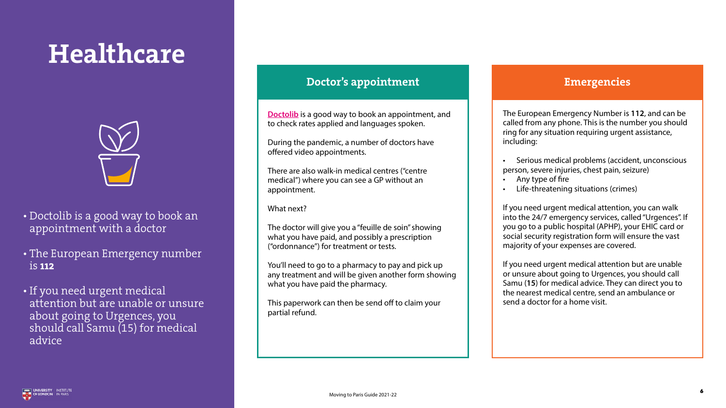**[Doctolib](https://www.doctolib.fr/)** is a good way to book an appointment, and to check rates applied and languages spoken.

During the pandemic, a number of doctors have offered video appointments.

There are also walk-in medical centres ("centre medical") where you can see a GP without an appointment.

What next?

The doctor will give you a "feuille de soin" showing what you have paid, and possibly a prescription ("ordonnance") for treatment or tests.

- Any type of fire
- Life-threatening situations (crimes)

You'll need to go to a pharmacy to pay and pick up any treatment and will be given another form showing what you have paid the pharmacy.

This paperwork can then be send off to claim your partial refund.

The European Emergency Number is **112**, and can be called from any phone. This is the number you should ring for any situation requiring urgent assistance, including:

• Serious medical problems (accident, unconscious person, severe injuries, chest pain, seizure)

If you need urgent medical attention, you can walk into the 24/7 emergency services, called "Urgences". If you go to a public hospital (APHP), your EHIC card or social security registration form will ensure the vast majority of your expenses are covered.

If you need urgent medical attention but are unable or unsure about going to Urgences, you should call Samu (**15**) for medical advice. They can direct you to the nearest medical centre, send an ambulance or send a doctor for a home visit.





6

## Healthcare



- Doctolib is a good way to book an appointment with a doctor
- The European Emergency number is 112
- If you need urgent medical attention but are unable or unsure about going to Urgences, you should call Samu (15) for medical advice

### Doctor's appointment and the contraction of the Emergencies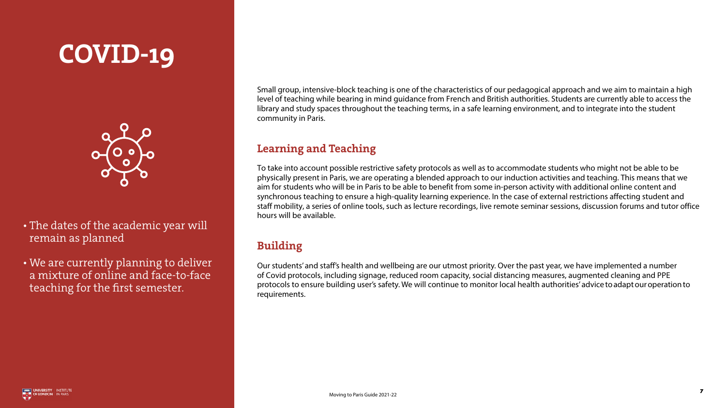



Small group, intensive-block teaching is one of the characteristics of our pedagogical approach and we aim to maintain a high level of teaching while bearing in mind guidance from French and British authorities. Students are currently able to access the library and study spaces throughout the teaching terms, in a safe learning environment, and to integrate into the student community in Paris.

### Learning and Teaching

To take into account possible restrictive safety protocols as well as to accommodate students who might not be able to be physically present in Paris, we are operating a blended approach to our induction activities and teaching. This means that we aim for students who will be in Paris to be able to benefit from some in-person activity with additional online content and synchronous teaching to ensure a high-quality learning experience. In the case of external restrictions affecting student and staff mobility, a series of online tools, such as lecture recordings, live remote seminar sessions, discussion forums and tutor office hours will be available.

### Building

Our students' and staff's health and wellbeing are our utmost priority. Over the past year, we have implemented a number of Covid protocols, including signage, reduced room capacity, social distancing measures, augmented cleaning and PPE protocols to ensure building user's safety. We will continue to monitor local health authorities' advice to adapt our operation to requirements.



7

## COVID-19



- The dates of the academic year will remain as planned
- We are currently planning to deliver a mixture of online and face-to-face teaching for the first semester.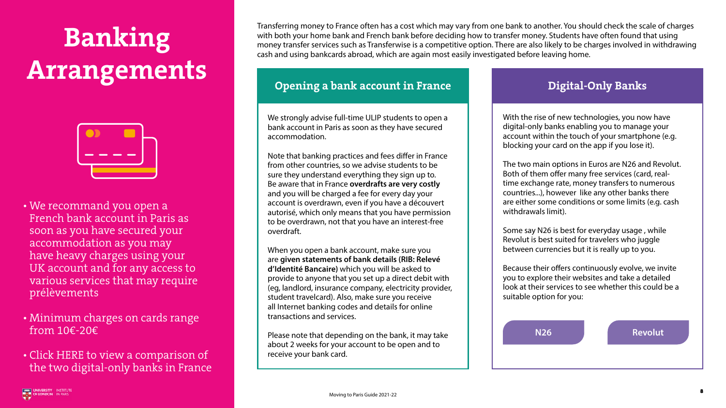



# <span id="page-7-0"></span>Banking Arrangements



- We recommand you open a French bank account in Paris as soon as you have secured your accommodation as you may have heavy charges using your UK account and for any access to various services that may require prélèvements
- Minimum charges on cards range from 10€-20€
- Click [HERE](http://www.jepargneenligne.com/comparatifs/comparatif-banques-mobiles/n26-vs-revolut-quelle-banque-mobile-choisir/) to view a comparison of the two digital-only banks in France

Transferring money to France often has a cost which may vary from one bank to another. You should check the scale of charges with both your home bank and French bank before deciding how to transfer money. Students have often found that using money transfer services such as [Transferwise](https://transferwise.com/fr?lang=en) is a competitive option. There are also likely to be charges involved in withdrawing cash and using bankcards abroad, which are again most easily investigated before leaving home.

### Opening a bank account in France Theorem and Digital-Only Banks

We strongly advise full-time ULIP students to open a bank account in Paris as soon as they have secured accommodation.

Note that banking practices and fees differ in France from other countries, so we advise students to be sure they understand everything they sign up to. Be aware that in France **overdrafts are very costly** and you will be charged a fee for every day your account is overdrawn, even if you have a découvert autorisé, which only means that you have permission to be overdrawn, not that you have an interest-free overdraft.

When you open a bank account, make sure you are **given statements of bank details (RIB: Relevé d'Identité Bancaire)** which you will be asked to provide to anyone that you set up a direct debit with (eg, landlord, insurance company, electricity provider, student travelcard). Also, make sure you receive all Internet banking codes and details for online transactions and services.

Please note that depending on the bank, it may take about 2 weeks for your account to be open and to receive your bank card.

With the rise of new technologies, you now have digital-only banks enabling you to manage your account within the touch of your smartphone (e.g. blocking your card on the app if you lose it).

The two main options in Euros are N26 and Revolut. Both of them offer many free services (card, realtime exchange rate, money transfers to numerous countries...), however like any other banks there are either some conditions or some limits (e.g. cash withdrawals limit).

Some say N26 is best for everyday usage , while Revolut is best suited for travelers who juggle between currencies but it is really up to you.

Because their offers continuously evolve, we invite you to explore their websites and take a detailed look at their services to see whether this could be a suitable option for you:

**N26 Revolut**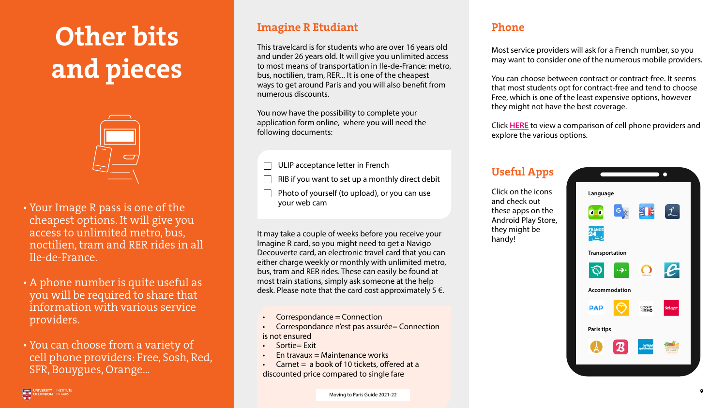letter in French

set up a monthly direct debit

(to upload), or you can use

### Imagine R Etudiant

This travelcard is for students who are over 16 years old and under 26 years old. It will give you unlimited access to most means of transportation in Ile-de-France: metro, bus, noctilien, tram, RER... It is one of the cheapest ways to get around Paris and you will also benefit from numerous discounts.

You now have the possibility to complete your application form online, where you will need the following documents:

It may take a couple of weeks before you receive your Imagine R card, so you might need to get a Navigo Decouverte card, an electronic travel card that you can either charge weekly or monthly with unlimited metro, bus, tram and RER rides. These can easily be found at most train stations, simply ask someone at the help desk. Please note that the card cost approximately  $5 \notin$ .

- Correspondance = Connection
- is not ensured
- Sortie= Exit
- En travaux  $=$  Maintenance works
- 



### Phone

Carnet  $=$  a book of 10 tickets, offered at a discounted price compared to single fare

Most service providers will ask for a French number, so you may want to consider one of the numerous mobile providers.

You can choose between contract or contract-free. It seems that most students opt for contract-free and tend to choose Free, which is one of the least expensive options, however they might not have the best coverage.

Click **[HERE](https://en.selectra.info/broadband-phone-france/providers)** to view a comparison of cell phone providers and explore the various options.









### Useful Apps

Click on the icons and check out these apps on the Android Play Store, they might be handy!

| $\Box$ ULIP acceptance le                  |
|--------------------------------------------|
| $\Box$ RIB if you want to                  |
| $\Box$ Photo of yourself (<br>your web cam |

• Correspondance n'est pas assurée= Connection



# <span id="page-8-0"></span>Other bits and pieces



- Your Image R pass is one of the cheapest options. It will give you access to unlimited metro, bus, noctilien, tram and RER rides in all Ile-de-France.
- A phone number is quite useful as you will be required to share that information with various service providers.
- You can choose from a variety of cell phone providers: Free, Sosh, Red, SFR, Bouygues, Orange...